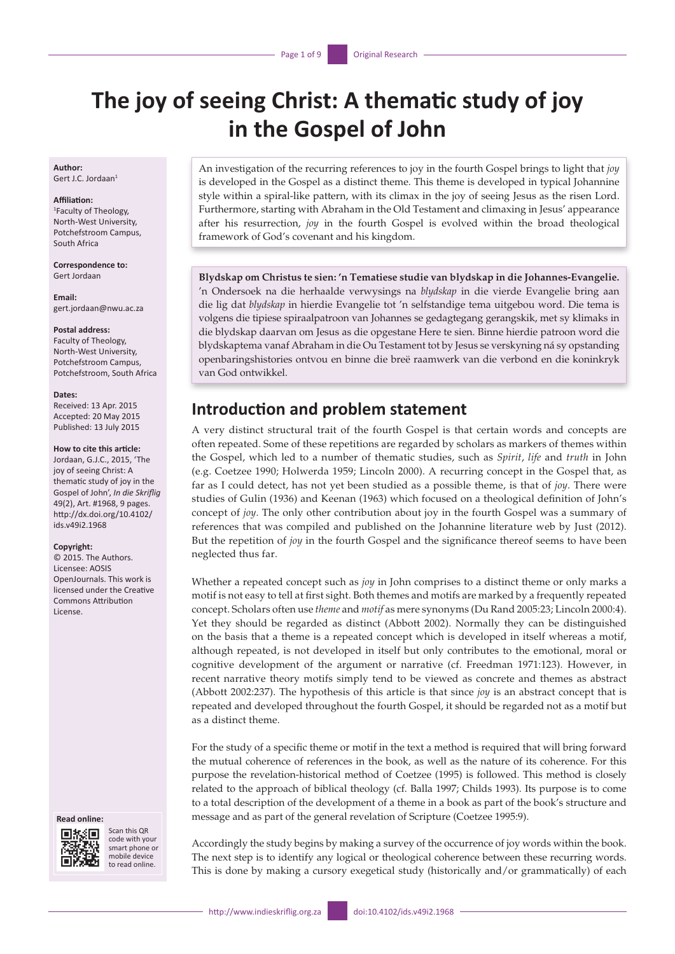# **The joy of seeing Christ: A thematic study of joy in the Gospel of John**

**Author:** Gert J.C. Jordaan<sup>1</sup>

#### **Affiliation:**

1 Faculty of Theology, North-West University, Potchefstroom Campus, South Africa

**Correspondence to:** Gert Jordaan

**Email:** [gert.jordaan@nwu.ac.za](mailto:gert.jordaan@nwu.ac.za)

#### **Postal address:**

Faculty of Theology, North-West University, Potchefstroom Campus, Potchefstroom, South Africa

#### **Dates:**

Received: 13 Apr. 2015 Accepted: 20 May 2015 Published: 13 July 2015

#### **How to cite this article:**

Jordaan, G.J.C., 2015, 'The joy of seeing Christ: A thematic study of joy in the Gospel of John', *In die Skriflig* 49(2), Art. #1968, 9 pages. [http://dx.doi.org/10.4102/](http://dx.doi.org/10.4102/ids.v49i2.1968) [ids.v49i2.1968](http://dx.doi.org/10.4102/ids.v49i2.1968)

#### **Copyright:**

© 2015. The Authors. Licensee: AOSIS OpenJournals. This work is licensed under the Creative Commons Attribution License.





Scan this QR code with your smart phone or mobile device to read online.

An investigation of the recurring references to joy in the fourth Gospel brings to light that *joy* is developed in the Gospel as a distinct theme. This theme is developed in typical Johannine style within a spiral-like pattern, with its climax in the joy of seeing Jesus as the risen Lord. Furthermore, starting with Abraham in the Old Testament and climaxing in Jesus' appearance after his resurrection, *joy* in the fourth Gospel is evolved within the broad theological framework of God's covenant and his kingdom.

**Blydskap om Christus te sien: 'n Tematiese studie van blydskap in die Johannes-Evangelie.**  'n Ondersoek na die herhaalde verwysings na *blydskap* in die vierde Evangelie bring aan die lig dat *blydskap* in hierdie Evangelie tot 'n selfstandige tema uitgebou word. Die tema is volgens die tipiese spiraalpatroon van Johannes se gedagtegang gerangskik, met sy klimaks in die blydskap daarvan om Jesus as die opgestane Here te sien. Binne hierdie patroon word die blydskaptema vanaf Abraham in die Ou Testament tot by Jesus se verskyning ná sy opstanding openbaringshistories ontvou en binne die breë raamwerk van die verbond en die koninkryk van God ontwikkel.

### **Introduction and problem statement**

A very distinct structural trait of the fourth Gospel is that certain words and concepts are often repeated. Some of these repetitions are regarded by scholars as markers of themes within the Gospel, which led to a number of thematic studies, such as *Spirit*, *life* and *truth* in John (e.g. Coetzee 1990; Holwerda 1959; Lincoln 2000). A recurring concept in the Gospel that, as far as I could detect, has not yet been studied as a possible theme, is that of *joy*. There were studies of Gulin (1936) and Keenan (1963) which focused on a theological definition of John's concept of *joy*. The only other contribution about joy in the fourth Gospel was a summary of references that was compiled and published on the Johannine literature web by Just (2012). But the repetition of *joy* in the fourth Gospel and the significance thereof seems to have been neglected thus far.

Whether a repeated concept such as *joy* in John comprises to a distinct theme or only marks a motif is not easy to tell at first sight. Both themes and motifs are marked by a frequently repeated concept. Scholars often use *theme* and *motif* as mere synonyms (Du Rand 2005:23; Lincoln 2000:4). Yet they should be regarded as distinct (Abbott 2002). Normally they can be distinguished on the basis that a theme is a repeated concept which is developed in itself whereas a motif, although repeated, is not developed in itself but only contributes to the emotional, moral or cognitive development of the argument or narrative (cf. Freedman 1971:123). However, in recent narrative theory motifs simply tend to be viewed as concrete and themes as abstract (Abbott 2002:237). The hypothesis of this article is that since *joy* is an abstract concept that is repeated and developed throughout the fourth Gospel, it should be regarded not as a motif but as a distinct theme.

For the study of a specific theme or motif in the text a method is required that will bring forward the mutual coherence of references in the book, as well as the nature of its coherence. For this purpose the revelation-historical method of Coetzee (1995) is followed. This method is closely related to the approach of biblical theology (cf. Balla 1997; Childs 1993). Its purpose is to come to a total description of the development of a theme in a book as part of the book's structure and message and as part of the general revelation of Scripture (Coetzee 1995:9).

Accordingly the study begins by making a survey of the occurrence of joy words within the book. The next step is to identify any logical or theological coherence between these recurring words. This is done by making a cursory exegetical study (historically and/or grammatically) of each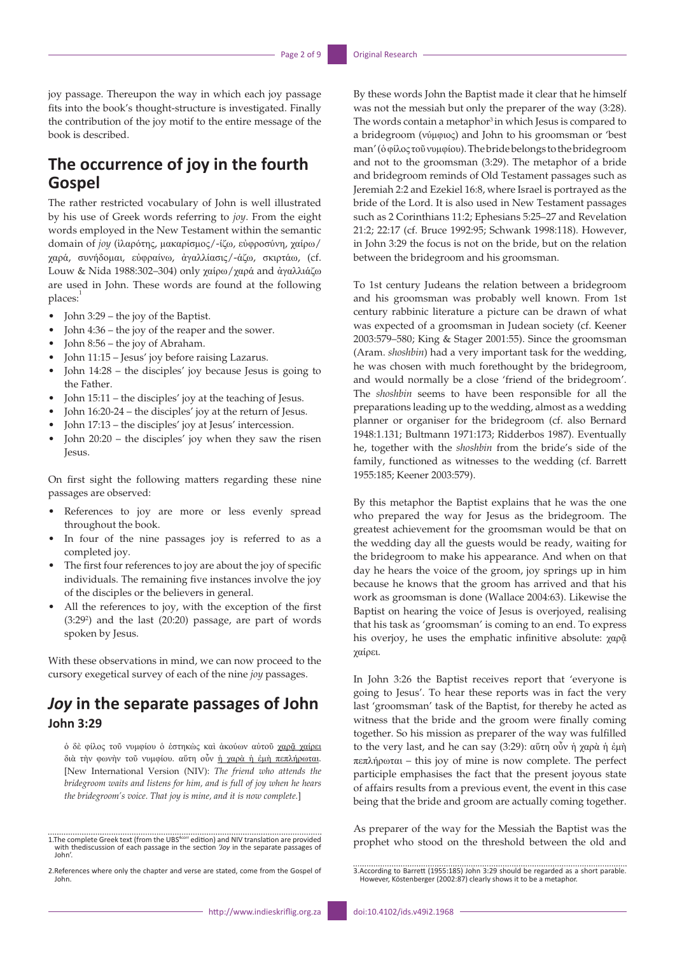joy passage. Thereupon the way in which each joy passage fits into the book's thought-structure is investigated. Finally the contribution of the joy motif to the entire message of the book is described.

# **The occurrence of joy in the fourth Gospel**

The rather restricted vocabulary of John is well illustrated by his use of Greek words referring to *joy*. From the eight words employed in the New Testament within the semantic domain of *joy* (ἱλαρότης, μακαρίσμος/-ίζω, εὐφροσύνη, χαίρω/ χαρά, συνήδομαι, εὐφραίνω, ἀγαλλίασις/-άζω, σκιρτάω, (cf. Louw & Nida 1988:302–304) only χαίρω/χαρά and ἀγαλλιάζω are used in John. These words are found at the following places:

- John 3:29 the joy of the Baptist.
- John 4:36 the joy of the reaper and the sower.
- John 8:56 the joy of Abraham.
- John 11:15 Jesus' joy before raising Lazarus.
- John 14:28 the disciples' joy because Jesus is going to the Father.
- John 15:11 the disciples' joy at the teaching of Jesus.
- John 16:20-24 the disciples' joy at the return of Jesus.
- John 17:13 the disciples' joy at Jesus' intercession.
- John 20:20 the disciples' joy when they saw the risen Jesus.

On first sight the following matters regarding these nine passages are observed:

- References to joy are more or less evenly spread throughout the book.
- In four of the nine passages joy is referred to as a completed joy.
- The first four references to joy are about the joy of specific individuals. The remaining five instances involve the joy of the disciples or the believers in general.
- All the references to joy, with the exception of the first (3:292 ) and the last (20:20) passage, are part of words spoken by Jesus.

With these observations in mind, we can now proceed to the cursory exegetical survey of each of the nine *joy* passages.

# *Joy* **in the separate passages of John John 3:29**

ό δε φίλος τοῦ νυμφίου ο έστηκώς και άκούων αύτοῦ χαρα χαίρει διὰ τὴν φωνὴν τοῦ νυμφίου. αὕτη οὖν ή χαρὰ ή ἐμὴ πεπλήρωται. [New International Version (NIV): *The friend who attends the bridegroom waits and listens for him, and is full of joy when he hears the bridegroom's voice. That joy is mine, and it is now complete.*]

By these words John the Baptist made it clear that he himself was not the messiah but only the preparer of the way (3:28). The words contain a metaphor<sup>3</sup> in which Jesus is compared to a bridegroom (νύμφιος) and John to his groomsman or 'best man' (ὁφίλος τοῦνυμφίου). The bride belongs to the bridegroom and not to the groomsman (3:29). The metaphor of a bride and bridegroom reminds of Old Testament passages such as Jeremiah 2:2 and Ezekiel 16:8, where Israel is portrayed as the bride of the Lord. It is also used in New Testament passages such as 2 Corinthians 11:2; Ephesians 5:25–27 and Revelation 21:2; 22:17 (cf. Bruce 1992:95; Schwank 1998:118). However, in John 3:29 the focus is not on the bride, but on the relation between the bridegroom and his groomsman.

To 1st century Judeans the relation between a bridegroom and his groomsman was probably well known. From 1st century rabbinic literature a picture can be drawn of what was expected of a groomsman in Judean society (cf. Keener 2003:579–580; King & Stager 2001:55). Since the groomsman (Aram. *shoshbin*) had a very important task for the wedding, he was chosen with much forethought by the bridegroom, and would normally be a close 'friend of the bridegroom'. The *shoshbin* seems to have been responsible for all the preparations leading up to the wedding, almost as a wedding planner or organiser for the bridegroom (cf. also Bernard 1948:1.131; Bultmann 1971:173; Ridderbos 1987). Eventually he, together with the *shoshbin* from the bride's side of the family, functioned as witnesses to the wedding (cf. Barrett 1955:185; Keener 2003:579).

By this metaphor the Baptist explains that he was the one who prepared the way for Jesus as the bridegroom. The greatest achievement for the groomsman would be that on the wedding day all the guests would be ready, waiting for the bridegroom to make his appearance. And when on that day he hears the voice of the groom, joy springs up in him because he knows that the groom has arrived and that his work as groomsman is done (Wallace 2004:63). Likewise the Baptist on hearing the voice of Jesus is overjoyed, realising that his task as 'groomsman' is coming to an end. To express his overjoy, he uses the emphatic infinitive absolute: χαρᾶ χαίρει.

In John 3:26 the Baptist receives report that 'everyone is going to Jesus'. To hear these reports was in fact the very last 'groomsman' task of the Baptist, for thereby he acted as witness that the bride and the groom were finally coming together. So his mission as preparer of the way was fulfilled to the very last, and he can say (3:29): αὕτη οὖν ἡ χαρὰ ἡ ἐμὴ πεπλήρωται – this joy of mine is now complete. The perfect participle emphasises the fact that the present joyous state of affairs results from a previous event, the event in this case being that the bride and groom are actually coming together.

As preparer of the way for the Messiah the Baptist was the prophet who stood on the threshold between the old and

<sup>1.</sup>The complete Greek text (from the UBS4corr edition) and NIV translation are provided with thediscussion of each passage in the section *'Joy* in the separate passages of John'.

<sup>2.</sup>References where only the chapter and verse are stated, come from the Gospel of John.

<sup>3.</sup>According to Barrett (1955:185) John 3:29 should be regarded as a short parable. However, Köstenberger (2002:87) clearly shows it to be a metaphor.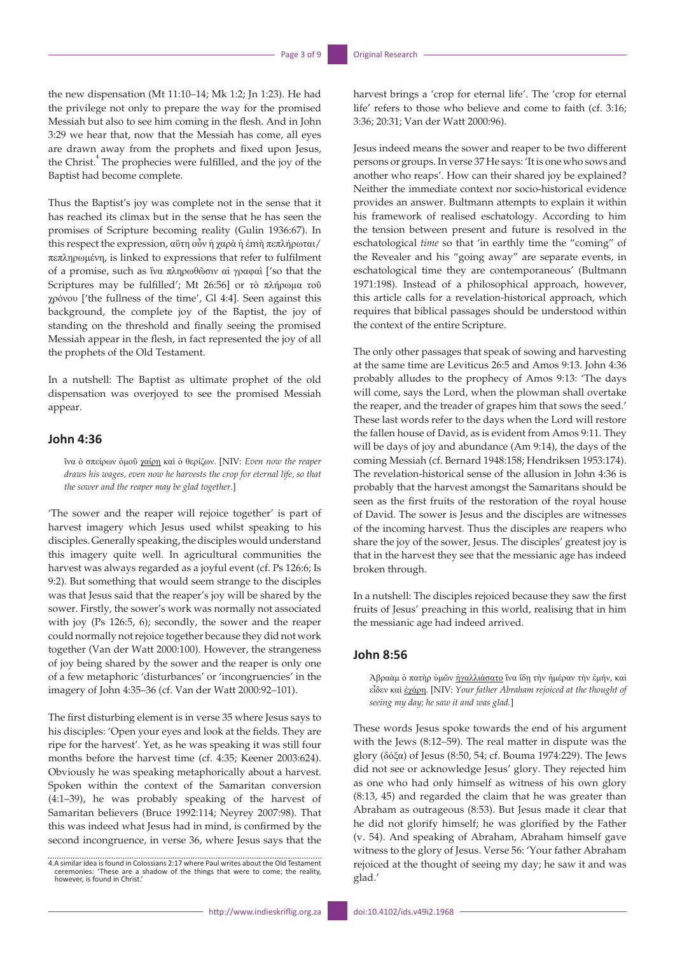the new dispensation (Mt 11:10–14; Mk 1:2; Jn 1:23). He had the privilege not only to prepare the way for the promised Messiah but also to see him coming in the flesh. And in John 3:29 we hear that, now that the Messiah has come, all eyes are drawn away from the prophets and fixed upon Jesus, the Christ.<sup>4</sup> The prophecies were fulfilled, and the joy of the Baptist had become complete.

Thus the Baptist's joy was complete not in the sense that it has reached its climax but in the sense that he has seen the promises of Scripture becoming reality (Gulin 1936:67). In this respect the expression, αὕτη οὖν ἡ χαρὰ ἡ ἐmὴ πεπλήρωται/ πεπληρωμένη, is linked to expressions that refer to fulfilment of a promise, such as ἵνα πληρωθῶσιν αἱ γραφαὶ ['so that the Scriptures may be fulfilled'; Mt 26:56] or τὸ πλήρωμα τοῦ χρόνου ['the fullness of the time', Gl 4:4]. Seen against this background, the complete joy of the Baptist, the joy of standing on the threshold and finally seeing the promised Messiah appear in the flesh, in fact represented the joy of all the prophets of the Old Testament.

In a nutshell: The Baptist as ultimate prophet of the old dispensation was overjoyed to see the promised Messiah appear.

### **John 4:36**

ἵνα ὁ σπείρων ὁμοῦ χαίρῃ καὶ ὁ θερίζων. [NIV: *Even now the reaper draws his wages, even now he harvests the crop for eternal life, so that the sower and the reaper may be glad together*.]

'The sower and the reaper will rejoice together' is part of harvest imagery which Jesus used whilst speaking to his disciples. Generally speaking, the disciples would understand this imagery quite well. In agricultural communities the harvest was always regarded as a joyful event (cf. Ps 126:6; Is 9:2). But something that would seem strange to the disciples was that Jesus said that the reaper's joy will be shared by the sower. Firstly, the sower's work was normally not associated with joy (Ps 126:5, 6); secondly, the sower and the reaper could normally not rejoice together because they did not work together (Van der Watt 2000:100). However, the strangeness of joy being shared by the sower and the reaper is only one of a few metaphoric 'disturbances' or 'incongruencies' in the imagery of John 4:35–36 (cf. Van der Watt 2000:92–101).

The first disturbing element is in verse 35 where Jesus says to his disciples: 'Open your eyes and look at the fields. They are ripe for the harvest'. Yet, as he was speaking it was still four months before the harvest time (cf. 4:35; Keener 2003:624). Obviously he was speaking metaphorically about a harvest. Spoken within the context of the Samaritan conversion (4:1–39), he was probably speaking of the harvest of Samaritan believers (Bruce 1992:114; Neyrey 2007:98). That this was indeed what Jesus had in mind, is confirmed by the second incongruence, in verse 36, where Jesus says that the

4.A similar idea is found in Colossians 2:17 where Paul writes about the Old Testament ceremonies: 'These are a shadow of the things that were to come; the reality, however, is found in Christ.' harvest brings a 'crop for eternal life'. The 'crop for eternal life' refers to those who believe and come to faith (cf. 3:16; 3:36; 20:31; Van der Watt 2000:96).

Jesus indeed means the sower and reaper to be two different persons or groups. In verse 37 He says: 'It is one who sows and another who reaps'. How can their shared joy be explained? Neither the immediate context nor socio-historical evidence provides an answer. Bultmann attempts to explain it within his framework of realised eschatology. According to him the tension between present and future is resolved in the eschatological *time* so that 'in earthly time the "coming" of the Revealer and his "going away" are separate events, in eschatological time they are contemporaneous' (Bultmann 1971:198). Instead of a philosophical approach, however, this article calls for a revelation-historical approach, which requires that biblical passages should be understood within the context of the entire Scripture.

The only other passages that speak of sowing and harvesting at the same time are Leviticus 26:5 and Amos 9:13. John 4:36 probably alludes to the prophecy of Amos 9:13: 'The days will come, says the Lord, when the plowman shall overtake the reaper, and the treader of grapes him that sows the seed.' These last words refer to the days when the Lord will restore the fallen house of David, as is evident from Amos 9:11. They will be days of joy and abundance (Am 9:14), the days of the coming Messiah (cf. Bernard 1948:158; Hendriksen 1953:174). The revelation-historical sense of the allusion in John 4:36 is probably that the harvest amongst the Samaritans should be seen as the first fruits of the restoration of the royal house of David. The sower is Jesus and the disciples are witnesses of the incoming harvest. Thus the disciples are reapers who share the joy of the sower, Jesus. The disciples' greatest joy is that in the harvest they see that the messianic age has indeed broken through.

In a nutshell: The disciples rejoiced because they saw the first fruits of Jesus' preaching in this world, realising that in him the messianic age had indeed arrived.

#### **John 8:56**

λβραὰμ ὁ πατὴρ ὑμῶν ἠγαλλιάσατο ἵνα ἴδη τὴν ἡμέραν τὴν ἐμήν, καὶ εἶδεν καὶ ἐχάρη. [NIV: *Your father Abraham rejoiced at the thought of seeing my day; he saw it and was glad.*]

These words Jesus spoke towards the end of his argument with the Jews (8:12–59). The real matter in dispute was the glory (δόξα) of Jesus (8:50, 54; cf. Bouma 1974:229). The Jews did not see or acknowledge Jesus' glory. They rejected him as one who had only himself as witness of his own glory (8:13, 45) and regarded the claim that he was greater than Abraham as outrageous (8:53). But Jesus made it clear that he did not glorify himself; he was glorified by the Father (v. 54). And speaking of Abraham, Abraham himself gave witness to the glory of Jesus. Verse 56: 'Your father Abraham rejoiced at the thought of seeing my day; he saw it and was glad.'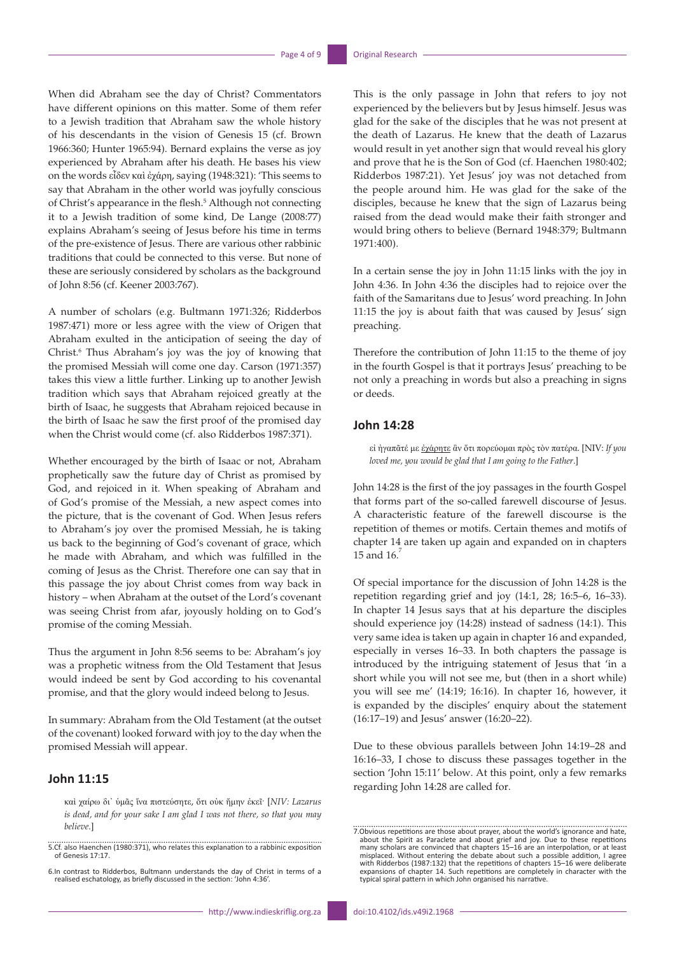When did Abraham see the day of Christ? Commentators have different opinions on this matter. Some of them refer to a Jewish tradition that Abraham saw the whole history of his descendants in the vision of Genesis 15 (cf. Brown 1966:360; Hunter 1965:94). Bernard explains the verse as joy experienced by Abraham after his death. He bases his view on the words εἶδεν καὶ ἐχάρη, saying (1948:321): 'This seems to say that Abraham in the other world was joyfully conscious of Christ's appearance in the flesh.<sup>5</sup> Although not connecting it to a Jewish tradition of some kind, De Lange (2008:77) explains Abraham's seeing of Jesus before his time in terms of the pre-existence of Jesus. There are various other rabbinic traditions that could be connected to this verse. But none of these are seriously considered by scholars as the background of John 8:56 (cf. Keener 2003:767).

A number of scholars (e.g. Bultmann 1971:326; Ridderbos 1987:471) more or less agree with the view of Origen that Abraham exulted in the anticipation of seeing the day of Christ.6 Thus Abraham's joy was the joy of knowing that the promised Messiah will come one day. Carson (1971:357) takes this view a little further. Linking up to another Jewish tradition which says that Abraham rejoiced greatly at the birth of Isaac, he suggests that Abraham rejoiced because in the birth of Isaac he saw the first proof of the promised day when the Christ would come (cf. also Ridderbos 1987:371).

Whether encouraged by the birth of Isaac or not, Abraham prophetically saw the future day of Christ as promised by God, and rejoiced in it. When speaking of Abraham and of God's promise of the Messiah, a new aspect comes into the picture, that is the covenant of God. When Jesus refers to Abraham's joy over the promised Messiah, he is taking us back to the beginning of God's covenant of grace, which he made with Abraham, and which was fulfilled in the coming of Jesus as the Christ. Therefore one can say that in this passage the joy about Christ comes from way back in history – when Abraham at the outset of the Lord's covenant was seeing Christ from afar, joyously holding on to God's promise of the coming Messiah.

Thus the argument in John 8:56 seems to be: Abraham's joy was a prophetic witness from the Old Testament that Jesus would indeed be sent by God according to his covenantal promise, and that the glory would indeed belong to Jesus.

In summary: Abraham from the Old Testament (at the outset of the covenant) looked forward with joy to the day when the promised Messiah will appear.

### **John 11:15**

καὶ χαίρω δι᾽ ὑμᾶς ἵνα πιστεύσητε, ὅτι οὐκ ἤμην ἐκεῖ· [*NIV: Lazarus is dead, and for your sake I am glad I was not there, so that you may believe*.]

This is the only passage in John that refers to joy not experienced by the believers but by Jesus himself. Jesus was glad for the sake of the disciples that he was not present at the death of Lazarus. He knew that the death of Lazarus would result in yet another sign that would reveal his glory and prove that he is the Son of God (cf. Haenchen 1980:402; Ridderbos 1987:21). Yet Jesus' joy was not detached from the people around him. He was glad for the sake of the disciples, because he knew that the sign of Lazarus being raised from the dead would make their faith stronger and would bring others to believe (Bernard 1948:379; Bultmann 1971:400).

In a certain sense the joy in John 11:15 links with the joy in John 4:36. In John 4:36 the disciples had to rejoice over the faith of the Samaritans due to Jesus' word preaching. In John 11:15 the joy is about faith that was caused by Jesus' sign preaching.

Therefore the contribution of John 11:15 to the theme of joy in the fourth Gospel is that it portrays Jesus' preaching to be not only a preaching in words but also a preaching in signs or deeds.

#### **John 14:28**

εἰ ἠγαπᾶτέ με ἐχάρητε ἂν ὅτι πορεύομαι πρὸς τὸν πατέρα. [NIV: *If you loved me, you would be glad that I am going to the Father*.]

John 14:28 is the first of the joy passages in the fourth Gospel that forms part of the so-called farewell discourse of Jesus. A characteristic feature of the farewell discourse is the repetition of themes or motifs. Certain themes and motifs of chapter 14 are taken up again and expanded on in chapters 15 and 16. $\overline{1}$ 

Of special importance for the discussion of John 14:28 is the repetition regarding grief and joy (14:1, 28; 16:5–6, 16–33). In chapter 14 Jesus says that at his departure the disciples should experience joy (14:28) instead of sadness (14:1). This very same idea is taken up again in chapter 16 and expanded, especially in verses 16–33. In both chapters the passage is introduced by the intriguing statement of Jesus that 'in a short while you will not see me, but (then in a short while) you will see me' (14:19; 16:16). In chapter 16, however, it is expanded by the disciples' enquiry about the statement (16:17–19) and Jesus' answer (16:20–22).

Due to these obvious parallels between John 14:19–28 and 16:16–33, I chose to discuss these passages together in the section 'John 15:11' below. At this point, only a few remarks regarding John 14:28 are called for.

<sup>5.</sup>Cf. also Haenchen (1980:371), who relates this explanation to a rabbinic exposition of Genesis 17:17.

<sup>6.</sup>In contrast to Ridderbos, Bultmann understands the day of Christ in terms of a realised eschatology, as briefly discussed in the section: 'John 4:36'

<sup>7.</sup>Obvious repetitions are those about prayer, about the world's ignorance and hate, about the Spirit as Paraclete and about grief and joy. Due to these repetitions many scholars are convinced that chapters 15–16 are an interpolation, or at least misplaced. Without entering the debate about such a possible addition, I agree with Ridderbos (1987:132) that the repetitions of chapters 15–16 were deliberate expansions of chapter 14. Such repetitions are completely in character with the typical spiral pattern in which John organised his narrative.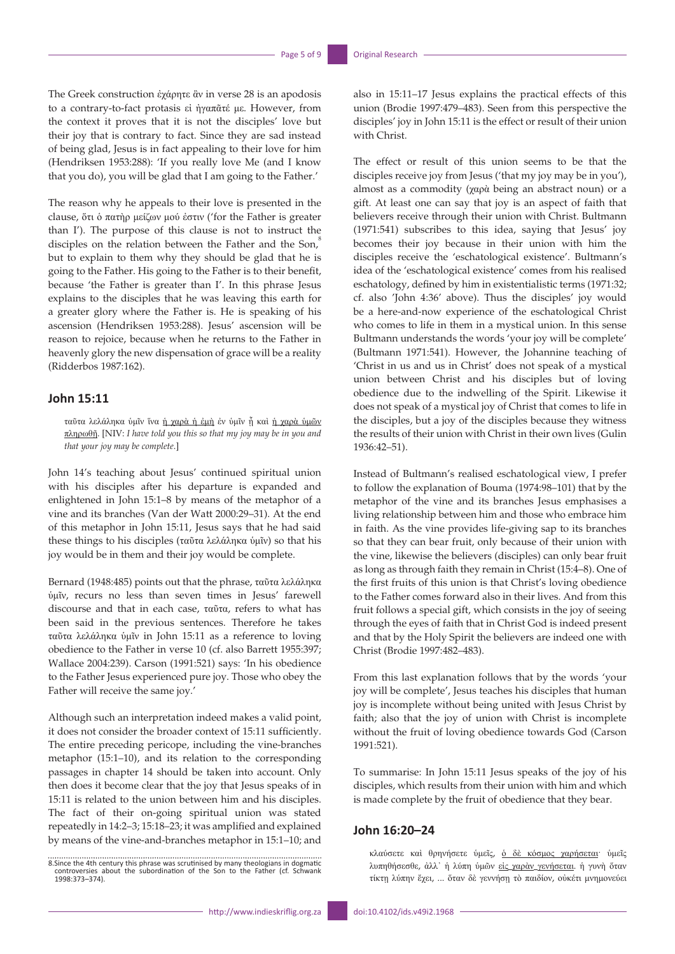The Greek construction ἐχάρητε ἂν in verse 28 is an apodosis to a contrary-to-fact protasis εἰ ἠγαπᾶτέ με. However, from the context it proves that it is not the disciples' love but their joy that is contrary to fact. Since they are sad instead of being glad, Jesus is in fact appealing to their love for him (Hendriksen 1953:288): 'If you really love Me (and I know that you do), you will be glad that I am going to the Father.'

The reason why he appeals to their love is presented in the clause, ὅτι ὁ πατὴρ μείζων μού ἐστιν ('for the Father is greater than I'). The purpose of this clause is not to instruct the disciples on the relation between the Father and the Son, $\hat{S}$ but to explain to them why they should be glad that he is going to the Father. His going to the Father is to their benefit, because 'the Father is greater than I'. In this phrase Jesus explains to the disciples that he was leaving this earth for a greater glory where the Father is. He is speaking of his ascension (Hendriksen 1953:288). Jesus' ascension will be reason to rejoice, because when he returns to the Father in heavenly glory the new dispensation of grace will be a reality (Ridderbos 1987:162).

### **John 15:11**

ταῦτα λελάληκα ὑμῖν ἵνα ή χαρά ή ἐμή ἐν ὑμῖν ἦ καὶ ή χαρὰ ὑμῶν πληρωθῇ. [NIV: *I have told you this so that my joy may be in you and that your joy may be complete*.]

John 14's teaching about Jesus' continued spiritual union with his disciples after his departure is expanded and enlightened in John 15:1–8 by means of the metaphor of a vine and its branches (Van der Watt 2000:29–31). At the end of this metaphor in John 15:11, Jesus says that he had said these things to his disciples (ταῦτα λελάληκα ὑμῖν) so that his joy would be in them and their joy would be complete.

Bernard (1948:485) points out that the phrase, ταῦτα λελάληκα ὑμῖν, recurs no less than seven times in Jesus' farewell discourse and that in each case, ταῦτα, refers to what has been said in the previous sentences. Therefore he takes ταῦτα λελάληκα ὑμῖν in John 15:11 as a reference to loving obedience to the Father in verse 10 (cf. also Barrett 1955:397; Wallace 2004:239). Carson (1991:521) says: 'In his obedience to the Father Jesus experienced pure joy. Those who obey the Father will receive the same joy.'

Although such an interpretation indeed makes a valid point, it does not consider the broader context of 15:11 sufficiently. The entire preceding pericope, including the vine-branches metaphor (15:1–10), and its relation to the corresponding passages in chapter 14 should be taken into account. Only then does it become clear that the joy that Jesus speaks of in 15:11 is related to the union between him and his disciples. The fact of their on-going spiritual union was stated repeatedly in 14:2–3; 15:18–23; it was amplified and explained by means of the vine-and-branches metaphor in 15:1–10; and also in 15:11–17 Jesus explains the practical effects of this union (Brodie 1997:479–483). Seen from this perspective the disciples' joy in John 15:11 is the effect or result of their union with Christ.

The effect or result of this union seems to be that the disciples receive joy from Jesus ('that my joy may be in you'), almost as a commodity (χαρὰ being an abstract noun) or a gift. At least one can say that joy is an aspect of faith that believers receive through their union with Christ. Bultmann (1971:541) subscribes to this idea, saying that Jesus' joy becomes their joy because in their union with him the disciples receive the 'eschatological existence'. Bultmann's idea of the 'eschatological existence' comes from his realised eschatology, defined by him in existentialistic terms (1971:32; cf. also 'John 4:36' above). Thus the disciples' joy would be a here-and-now experience of the eschatological Christ who comes to life in them in a mystical union. In this sense Bultmann understands the words 'your joy will be complete' (Bultmann 1971:541). However, the Johannine teaching of 'Christ in us and us in Christ' does not speak of a mystical union between Christ and his disciples but of loving obedience due to the indwelling of the Spirit. Likewise it does not speak of a mystical joy of Christ that comes to life in the disciples, but a joy of the disciples because they witness the results of their union with Christ in their own lives (Gulin 1936:42–51).

Instead of Bultmann's realised eschatological view, I prefer to follow the explanation of Bouma (1974:98–101) that by the metaphor of the vine and its branches Jesus emphasises a living relationship between him and those who embrace him in faith. As the vine provides life-giving sap to its branches so that they can bear fruit, only because of their union with the vine, likewise the believers (disciples) can only bear fruit as long as through faith they remain in Christ (15:4–8). One of the first fruits of this union is that Christ's loving obedience to the Father comes forward also in their lives. And from this fruit follows a special gift, which consists in the joy of seeing through the eyes of faith that in Christ God is indeed present and that by the Holy Spirit the believers are indeed one with Christ (Brodie 1997:482–483).

From this last explanation follows that by the words 'your joy will be complete', Jesus teaches his disciples that human joy is incomplete without being united with Jesus Christ by faith; also that the joy of union with Christ is incomplete without the fruit of loving obedience towards God (Carson 1991:521).

To summarise: In John 15:11 Jesus speaks of the joy of his disciples, which results from their union with him and which is made complete by the fruit of obedience that they bear.

#### **John 16:20–24**

κλαύσετε και θρηνήσετε ύμεῖς, <u>ὁ δε κόσμος χαρήσεται</u>· ύμεῖς λυπηθήσεσθε, ἀλλ᾽ ἡ λύπη ὑμῶν εἰς χαρὰν γενήσεται. ἡ γυνὴ ὅταν τίκτῃ λύπην ἔχει, ... ὅταν δὲ γεννήσῃ τὸ παιδίον, οὐκέτι μνημονεύει

<sup>8.</sup>Since the 4th century this phrase was scrutinised by many theologians in dogmatic controversies about the subordination of the Son to the Father (cf. Schwank 1998:373–374).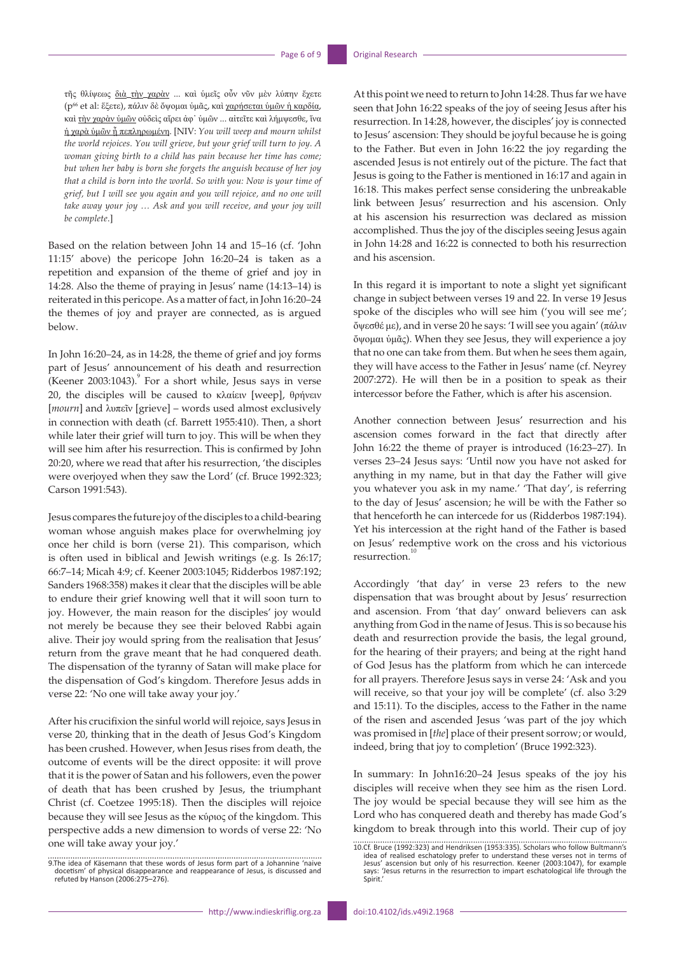τῆς θλίψεως διὰ τὴν χαρὰν ... καὶ ὑμεῖς οὖν νῦν μὲν λύπην ἔχετε (p66 et al: ἕξετε), πάλιν δὲ ὄψομαι ὑμᾶς, καὶ χαρήσεται ὑμῶν ἡ καρδία, καὶ τὴν χαρὰν ὑμῶν οὐδεὶς αἴρει ἀφ᾽ ὑμῶν ... αἰτεῖτε καὶ λήμψεσθε, ἵνα ἡ χαρὰ ὑμῶν ᾖ πεπληρωμένη. [NIV: *You will weep and mourn whilst the world rejoices. You will grieve, but your grief will turn to joy. A woman giving birth to a child has pain because her time has come; but when her baby is born she forgets the anguish because of her joy that a child is born into the world. So with you: Now is your time of grief, but I will see you again and you will rejoice, and no one will take away your joy … Ask and you will receive, and your joy will be complete*.]

Based on the relation between John 14 and 15–16 (cf. 'John 11:15' above) the pericope John 16:20–24 is taken as a repetition and expansion of the theme of grief and joy in 14:28. Also the theme of praying in Jesus' name (14:13–14) is reiterated in this pericope. As a matter of fact, in John 16:20–24 the themes of joy and prayer are connected, as is argued below.

In John 16:20–24, as in 14:28, the theme of grief and joy forms part of Jesus' announcement of his death and resurrection (Keener 2003:1043). $\degree$  For a short while, Jesus says in verse 20, the disciples will be caused to κλαίειν [weep], θρήνειν [*mourn*] and λυπεῖν [grieve] – words used almost exclusively in connection with death (cf. Barrett 1955:410). Then, a short while later their grief will turn to joy. This will be when they will see him after his resurrection. This is confirmed by John 20:20, where we read that after his resurrection, 'the disciples were overjoyed when they saw the Lord' (cf. Bruce 1992:323; Carson 1991:543).

Jesus compares the future joy of the disciples to a child-bearing woman whose anguish makes place for overwhelming joy once her child is born (verse 21). This comparison, which is often used in biblical and Jewish writings (e.g. Is 26:17; 66:7–14; Micah 4:9; cf. Keener 2003:1045; Ridderbos 1987:192; Sanders 1968:358) makes it clear that the disciples will be able to endure their grief knowing well that it will soon turn to joy. However, the main reason for the disciples' joy would not merely be because they see their beloved Rabbi again alive. Their joy would spring from the realisation that Jesus' return from the grave meant that he had conquered death. The dispensation of the tyranny of Satan will make place for the dispensation of God's kingdom. Therefore Jesus adds in verse 22: 'No one will take away your joy.'

After his crucifixion the sinful world will rejoice, says Jesus in verse 20, thinking that in the death of Jesus God's Kingdom has been crushed. However, when Jesus rises from death, the outcome of events will be the direct opposite: it will prove that it is the power of Satan and his followers, even the power of death that has been crushed by Jesus, the triumphant Christ (cf. Coetzee 1995:18). Then the disciples will rejoice because they will see Jesus as the κύριος of the kingdom. This perspective adds a new dimension to words of verse 22: 'No one will take away your joy.'

At this point we need to return to John 14:28. Thus far we have seen that John 16:22 speaks of the joy of seeing Jesus after his resurrection. In 14:28, however, the disciples' joy is connected to Jesus' ascension: They should be joyful because he is going to the Father. But even in John 16:22 the joy regarding the ascended Jesus is not entirely out of the picture. The fact that Jesus is going to the Father is mentioned in 16:17 and again in 16:18. This makes perfect sense considering the unbreakable link between Jesus' resurrection and his ascension. Only at his ascension his resurrection was declared as mission accomplished. Thus the joy of the disciples seeing Jesus again in John 14:28 and 16:22 is connected to both his resurrection and his ascension.

In this regard it is important to note a slight yet significant change in subject between verses 19 and 22. In verse 19 Jesus spoke of the disciples who will see him ('you will see me'; ὄψεσθέ με), and in verse 20 he says: 'I will see you again' (πάλιν ὄψομαι ὑμᾶς). When they see Jesus, they will experience a joy that no one can take from them. But when he sees them again, they will have access to the Father in Jesus' name (cf. Neyrey 2007:272). He will then be in a position to speak as their intercessor before the Father, which is after his ascension.

Another connection between Jesus' resurrection and his ascension comes forward in the fact that directly after John 16:22 the theme of prayer is introduced (16:23–27). In verses 23–24 Jesus says: 'Until now you have not asked for anything in my name, but in that day the Father will give you whatever you ask in my name.' 'That day', is referring to the day of Jesus' ascension; he will be with the Father so that henceforth he can intercede for us (Ridderbos 1987:194). Yet his intercession at the right hand of the Father is based on Jesus' redemptive work on the cross and his victorious resurrection.

Accordingly 'that day' in verse 23 refers to the new dispensation that was brought about by Jesus' resurrection and ascension. From 'that day' onward believers can ask anything from God in the name of Jesus. This is so because his death and resurrection provide the basis, the legal ground, for the hearing of their prayers; and being at the right hand of God Jesus has the platform from which he can intercede for all prayers. Therefore Jesus says in verse 24: 'Ask and you will receive, so that your joy will be complete' (cf. also 3:29 and 15:11). To the disciples, access to the Father in the name of the risen and ascended Jesus 'was part of the joy which was promised in [*the*] place of their present sorrow; or would, indeed, bring that joy to completion' (Bruce 1992:323).

In summary: In John16:20–24 Jesus speaks of the joy his disciples will receive when they see him as the risen Lord. The joy would be special because they will see him as the Lord who has conquered death and thereby has made God's kingdom to break through into this world. Their cup of joy

<sup>9.</sup>The idea of Käsemann that these words of Jesus form part of a Johannine 'naive docetism' of physical disappearance and reappearance of Jesus, is discussed and refuted by Hanson (2006:275–276).

<sup>10.</sup>Cf. Bruce (1992:323) and Hendriksen (1953:335). Scholars who follow Bultmann's<br>idea of realised eschatology prefer to understand these verses not in terms of<br>Jesus' ascension but only of his resurrection. Keener (2003:1 says: 'Jesus returns in the resurrection to impart eschatological life through the Spirit.'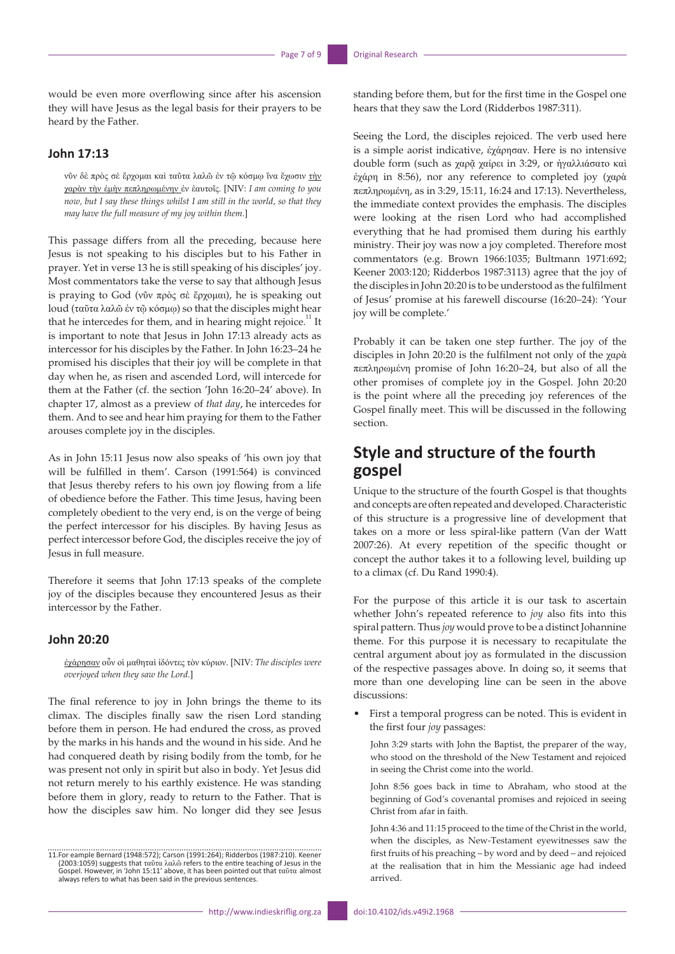would be even more overflowing since after his ascension they will have Jesus as the legal basis for their prayers to be heard by the Father.

### **John 17:13**

νῦν δὲ πρὸς σὲ ἔρχομαι καὶ ταῦτα λαλῶ ἐν τῷ κόσμῳ ἵνα ἔχωσιν τὴν χαρὰν τὴν ἐμὴν πεπληρωμένην ἐν ἑαυτοῖς. [NIV: *I am coming to you now, but I say these things whilst I am still in the world, so that they may have the full measure of my joy within them*.]

This passage differs from all the preceding, because here Jesus is not speaking to his disciples but to his Father in prayer. Yet in verse 13 he is still speaking of his disciples' joy. Most commentators take the verse to say that although Jesus is praying to God (νῦν πρὸς σὲ ἔρχομαι), he is speaking out loud (ταῦτα λαλῶ ἐν τῷ κόσμῳ) so that the disciples might hear that he intercedes for them, and in hearing might rejoice.<sup>11</sup> It is important to note that Jesus in John 17:13 already acts as intercessor for his disciples by the Father. In John 16:23–24 he promised his disciples that their joy will be complete in that day when he, as risen and ascended Lord, will intercede for them at the Father (cf. the section 'John 16:20–24' above). In chapter 17, almost as a preview of *that day*, he intercedes for them. And to see and hear him praying for them to the Father arouses complete joy in the disciples.

As in John 15:11 Jesus now also speaks of 'his own joy that will be fulfilled in them'. Carson (1991:564) is convinced that Jesus thereby refers to his own joy flowing from a life of obedience before the Father. This time Jesus, having been completely obedient to the very end, is on the verge of being the perfect intercessor for his disciples. By having Jesus as perfect intercessor before God, the disciples receive the joy of Jesus in full measure.

Therefore it seems that John 17:13 speaks of the complete joy of the disciples because they encountered Jesus as their intercessor by the Father.

### **John 20:20**

ἐχάρησαν οὖν οἱ μαθηταὶ ἰδόντες τὸν κύριον. [NIV: *The disciples were overjoyed when they saw the Lord.*]

The final reference to joy in John brings the theme to its climax. The disciples finally saw the risen Lord standing before them in person. He had endured the cross, as proved by the marks in his hands and the wound in his side. And he had conquered death by rising bodily from the tomb, for he was present not only in spirit but also in body. Yet Jesus did not return merely to his earthly existence. He was standing before them in glory, ready to return to the Father. That is how the disciples saw him. No longer did they see Jesus

standing before them, but for the first time in the Gospel one hears that they saw the Lord (Ridderbos 1987:311).

Seeing the Lord, the disciples rejoiced. The verb used here is a simple aorist indicative, ἐχάρησαν. Here is no intensive double form (such as χαρᾶ χαίρει in 3:29, or ἠγαλλιάσατο καὶ ἐχάρη in 8:56), nor any reference to completed joy (χαρὰ πεπληρωμένη, as in 3:29, 15:11, 16:24 and 17:13). Nevertheless, the immediate context provides the emphasis. The disciples were looking at the risen Lord who had accomplished everything that he had promised them during his earthly ministry. Their joy was now a joy completed. Therefore most commentators (e.g. Brown 1966:1035; Bultmann 1971:692; Keener 2003:120; Ridderbos 1987:3113) agree that the joy of the disciples in John 20:20 is to be understood as the fulfilment of Jesus' promise at his farewell discourse (16:20–24): 'Your joy will be complete.'

Probably it can be taken one step further. The joy of the disciples in John 20:20 is the fulfilment not only of the χαρὰ πεπληρωμένη promise of John 16:20–24, but also of all the other promises of complete joy in the Gospel. John 20:20 is the point where all the preceding joy references of the Gospel finally meet. This will be discussed in the following section.

## **Style and structure of the fourth gospel**

Unique to the structure of the fourth Gospel is that thoughts and concepts are often repeated and developed. Characteristic of this structure is a progressive line of development that takes on a more or less spiral-like pattern (Van der Watt 2007:26). At every repetition of the specific thought or concept the author takes it to a following level, building up to a climax (cf. Du Rand 1990:4).

For the purpose of this article it is our task to ascertain whether John's repeated reference to *joy* also fits into this spiral pattern. Thus *joy* would prove to be a distinct Johannine theme. For this purpose it is necessary to recapitulate the central argument about joy as formulated in the discussion of the respective passages above. In doing so, it seems that more than one developing line can be seen in the above discussions:

First a temporal progress can be noted. This is evident in the first four *joy* passages:

John 3:29 starts with John the Baptist, the preparer of the way, who stood on the threshold of the New Testament and rejoiced in seeing the Christ come into the world.

John 8:56 goes back in time to Abraham, who stood at the beginning of God's covenantal promises and rejoiced in seeing Christ from afar in faith.

John 4:36 and 11:15 proceed to the time of the Christ in the world, when the disciples, as New-Testament eyewitnesses saw the first fruits of his preaching – by word and by deed – and rejoiced at the realisation that in him the Messianic age had indeed arrived.

<sup>11.</sup>For eample Bernard (1948:572); Carson (1991:264); Ridderbos (1987:210). Keener<br>(2003:1059) suggests that ταῦτα λαλῶ refers to the entire teaching of Jesus in the (2003)<br>Gospel. However, in 'John 15:11' above, it has be always refers to what has been said in the previous sentences.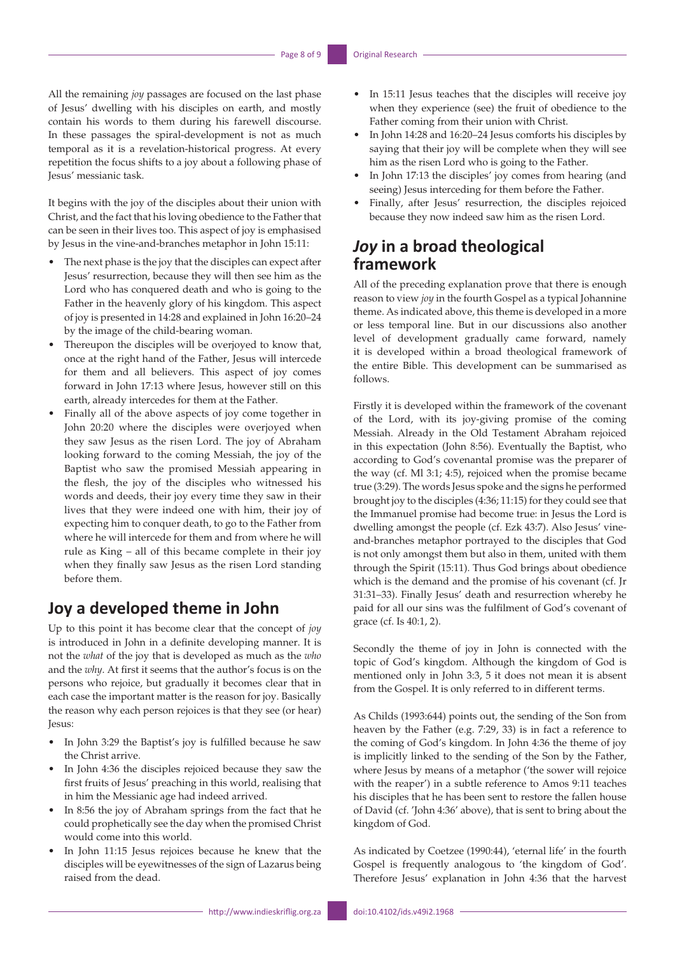All the remaining *joy* passages are focused on the last phase of Jesus' dwelling with his disciples on earth, and mostly contain his words to them during his farewell discourse. In these passages the spiral-development is not as much temporal as it is a revelation-historical progress. At every repetition the focus shifts to a joy about a following phase of Jesus' messianic task.

It begins with the joy of the disciples about their union with Christ, and the fact that his loving obedience to the Father that can be seen in their lives too. This aspect of joy is emphasised by Jesus in the vine-and-branches metaphor in John 15:11:

- The next phase is the joy that the disciples can expect after Jesus' resurrection, because they will then see him as the Lord who has conquered death and who is going to the Father in the heavenly glory of his kingdom. This aspect of joy is presented in 14:28 and explained in John 16:20–24 by the image of the child-bearing woman.
- Thereupon the disciples will be overjoyed to know that, once at the right hand of the Father, Jesus will intercede for them and all believers. This aspect of joy comes forward in John 17:13 where Jesus, however still on this earth, already intercedes for them at the Father.
- Finally all of the above aspects of joy come together in John 20:20 where the disciples were overjoyed when they saw Jesus as the risen Lord. The joy of Abraham looking forward to the coming Messiah, the joy of the Baptist who saw the promised Messiah appearing in the flesh, the joy of the disciples who witnessed his words and deeds, their joy every time they saw in their lives that they were indeed one with him, their joy of expecting him to conquer death, to go to the Father from where he will intercede for them and from where he will rule as King – all of this became complete in their joy when they finally saw Jesus as the risen Lord standing before them.

### **Joy a developed theme in John**

Up to this point it has become clear that the concept of *joy* is introduced in John in a definite developing manner. It is not the *what* of the joy that is developed as much as the *who* and the *why*. At first it seems that the author's focus is on the persons who rejoice, but gradually it becomes clear that in each case the important matter is the reason for joy. Basically the reason why each person rejoices is that they see (or hear) Jesus:

- In John 3:29 the Baptist's joy is fulfilled because he saw the Christ arrive.
- In John 4:36 the disciples rejoiced because they saw the first fruits of Jesus' preaching in this world, realising that in him the Messianic age had indeed arrived.
- In 8:56 the joy of Abraham springs from the fact that he could prophetically see the day when the promised Christ would come into this world.
- In John 11:15 Jesus rejoices because he knew that the disciples will be eyewitnesses of the sign of Lazarus being raised from the dead.
- In 15:11 Jesus teaches that the disciples will receive joy when they experience (see) the fruit of obedience to the Father coming from their union with Christ.
- In John 14:28 and 16:20–24 Jesus comforts his disciples by saying that their joy will be complete when they will see him as the risen Lord who is going to the Father.
- In John 17:13 the disciples' joy comes from hearing (and seeing) Jesus interceding for them before the Father.
- Finally, after Jesus' resurrection, the disciples rejoiced because they now indeed saw him as the risen Lord.

# *Joy* **in a broad theological framework**

All of the preceding explanation prove that there is enough reason to view *joy* in the fourth Gospel as a typical Johannine theme. As indicated above, this theme is developed in a more or less temporal line. But in our discussions also another level of development gradually came forward, namely it is developed within a broad theological framework of the entire Bible. This development can be summarised as follows.

Firstly it is developed within the framework of the covenant of the Lord, with its joy-giving promise of the coming Messiah. Already in the Old Testament Abraham rejoiced in this expectation (John 8:56). Eventually the Baptist, who according to God's covenantal promise was the preparer of the way (cf. Ml 3:1; 4:5), rejoiced when the promise became true (3:29). The words Jesus spoke and the signs he performed brought joy to the disciples (4:36; 11:15) for they could see that the Immanuel promise had become true: in Jesus the Lord is dwelling amongst the people (cf. Ezk 43:7). Also Jesus' vineand-branches metaphor portrayed to the disciples that God is not only amongst them but also in them, united with them through the Spirit (15:11). Thus God brings about obedience which is the demand and the promise of his covenant (cf. Jr 31:31–33). Finally Jesus' death and resurrection whereby he paid for all our sins was the fulfilment of God's covenant of grace (cf. Is 40:1, 2).

Secondly the theme of joy in John is connected with the topic of God's kingdom. Although the kingdom of God is mentioned only in John 3:3, 5 it does not mean it is absent from the Gospel. It is only referred to in different terms.

As Childs (1993:644) points out, the sending of the Son from heaven by the Father (e.g. 7:29, 33) is in fact a reference to the coming of God's kingdom. In John 4:36 the theme of joy is implicitly linked to the sending of the Son by the Father, where Jesus by means of a metaphor ('the sower will rejoice with the reaper') in a subtle reference to Amos 9:11 teaches his disciples that he has been sent to restore the fallen house of David (cf. 'John 4:36' above), that is sent to bring about the kingdom of God.

As indicated by Coetzee (1990:44), 'eternal life' in the fourth Gospel is frequently analogous to 'the kingdom of God'. Therefore Jesus' explanation in John 4:36 that the harvest